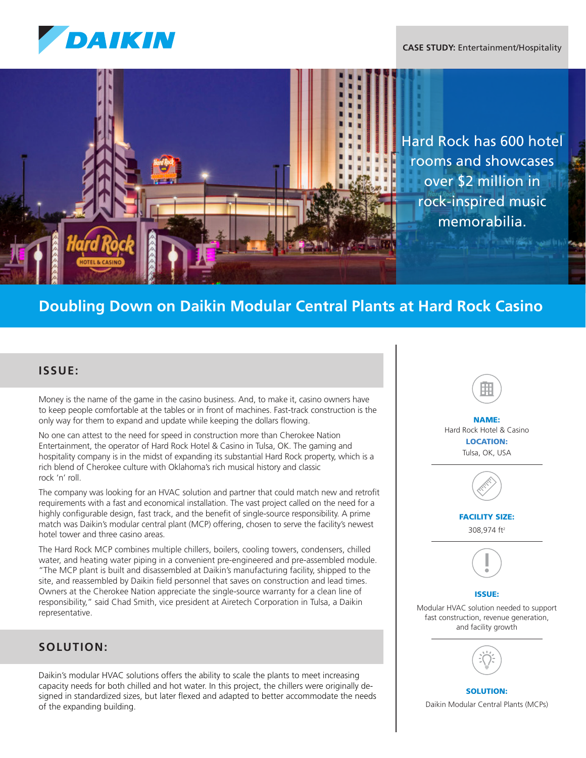#### **CASE STUDY:** Entertainment/Hospitality





Hard Rock has 600 hotel rooms and showcases over \$2 million in rock-inspired music memorabilia.

# **Doubling Down on Daikin Modular Central Plants at Hard Rock Casino**

### **ISSUE:**

Money is the name of the game in the casino business. And, to make it, casino owners have to keep people comfortable at the tables or in front of machines. Fast-track construction is the only way for them to expand and update while keeping the dollars flowing.

No one can attest to the need for speed in construction more than Cherokee Nation Entertainment, the operator of Hard Rock Hotel & Casino in Tulsa, OK. The gaming and hospitality company is in the midst of expanding its substantial Hard Rock property, which is a rich blend of Cherokee culture with Oklahoma's rich musical history and classic rock 'n' roll.

The company was looking for an HVAC solution and partner that could match new and retrofit requirements with a fast and economical installation. The vast project called on the need for a highly configurable design, fast track, and the benefit of single-source responsibility. A prime match was Daikin's modular central plant (MCP) offering, chosen to serve the facility's newest hotel tower and three casino areas.

The Hard Rock MCP combines multiple chillers, boilers, cooling towers, condensers, chilled water, and heating water piping in a convenient pre-engineered and pre-assembled module. "The MCP plant is built and disassembled at Daikin's manufacturing facility, shipped to the site, and reassembled by Daikin field personnel that saves on construction and lead times. Owners at the Cherokee Nation appreciate the single-source warranty for a clean line of responsibility," said Chad Smith, vice president at Airetech Corporation in Tulsa, a Daikin representative.

## **SOLUTION:**

Daikin's modular HVAC solutions offers the ability to scale the plants to meet increasing capacity needs for both chilled and hot water. In this project, the chillers were originally designed in standardized sizes, but later flexed and adapted to better accommodate the needs of the expanding building.



NAME: Hard Rock Hotel & Casino LOCATION: Tulsa, OK, USA



FACILITY SIZE:

308,974 ft<sup>2</sup>



#### ISSUE:

Modular HVAC solution needed to support fast construction, revenue generation, and facility growth

SOLUTION: Daikin Modular Central Plants (MCPs)